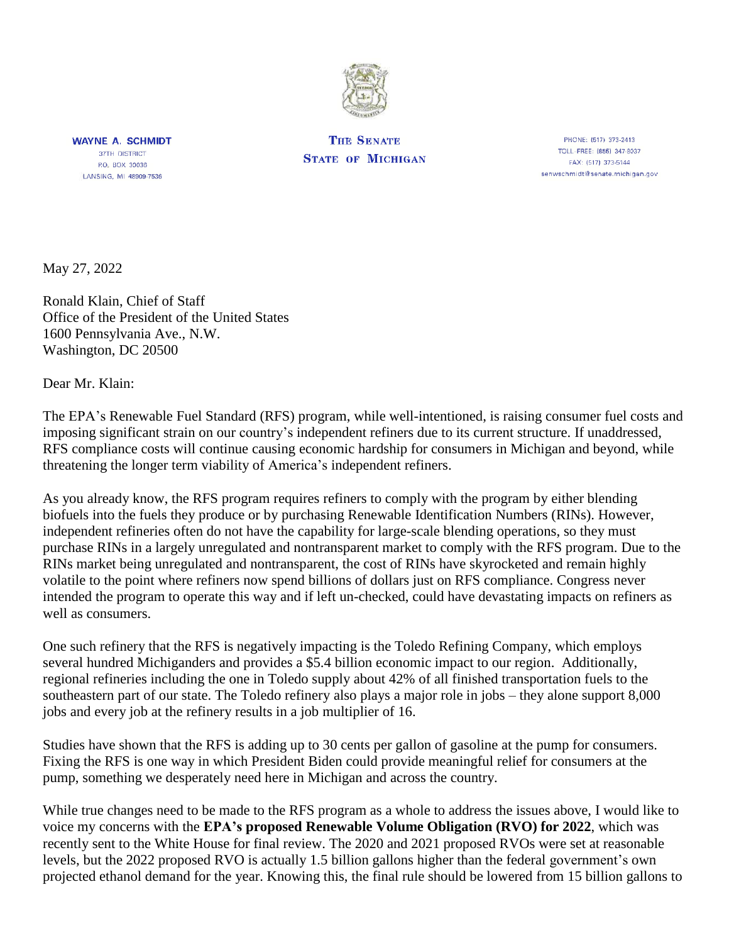

**WAYNE A. SCHMIDT 37TH DISTRICT** P.O. BOX 30036 LANSING, MI 48909-7536

**THE SENATE STATE OF MICHIGAN** 

PHONE: (517) 373-2413 TOLL-FREE: (855) 347-8037 FAX: (517) 373-5144 senwschmidt@senate.michigan.gov

May 27, 2022

Ronald Klain, Chief of Staff Office of the President of the United States 1600 Pennsylvania Ave., N.W. Washington, DC 20500

Dear Mr. Klain:

The EPA's Renewable Fuel Standard (RFS) program, while well-intentioned, is raising consumer fuel costs and imposing significant strain on our country's independent refiners due to its current structure. If unaddressed, RFS compliance costs will continue causing economic hardship for consumers in Michigan and beyond, while threatening the longer term viability of America's independent refiners.

As you already know, the RFS program requires refiners to comply with the program by either blending biofuels into the fuels they produce or by purchasing Renewable Identification Numbers (RINs). However, independent refineries often do not have the capability for large-scale blending operations, so they must purchase RINs in a largely unregulated and nontransparent market to comply with the RFS program. Due to the RINs market being unregulated and nontransparent, the cost of RINs have skyrocketed and remain highly volatile to the point where refiners now spend billions of dollars just on RFS compliance. Congress never intended the program to operate this way and if left un-checked, could have devastating impacts on refiners as well as consumers.

One such refinery that the RFS is negatively impacting is the Toledo Refining Company, which employs several hundred Michiganders and provides a \$5.4 billion economic impact to our region. Additionally, regional refineries including the one in Toledo supply about 42% of all finished transportation fuels to the southeastern part of our state. The Toledo refinery also plays a major role in jobs – they alone support 8,000 jobs and every job at the refinery results in a job multiplier of 16.

Studies have shown that the RFS is adding up to 30 cents per gallon of gasoline at the pump for consumers. Fixing the RFS is one way in which President Biden could provide meaningful relief for consumers at the pump, something we desperately need here in Michigan and across the country.

While true changes need to be made to the RFS program as a whole to address the issues above, I would like to voice my concerns with the **EPA's proposed Renewable Volume Obligation (RVO) for 2022**, which was recently sent to the White House for final review. The 2020 and 2021 proposed RVOs were set at reasonable levels, but the 2022 proposed RVO is actually 1.5 billion gallons higher than the federal government's own projected ethanol demand for the year. Knowing this, the final rule should be lowered from 15 billion gallons to